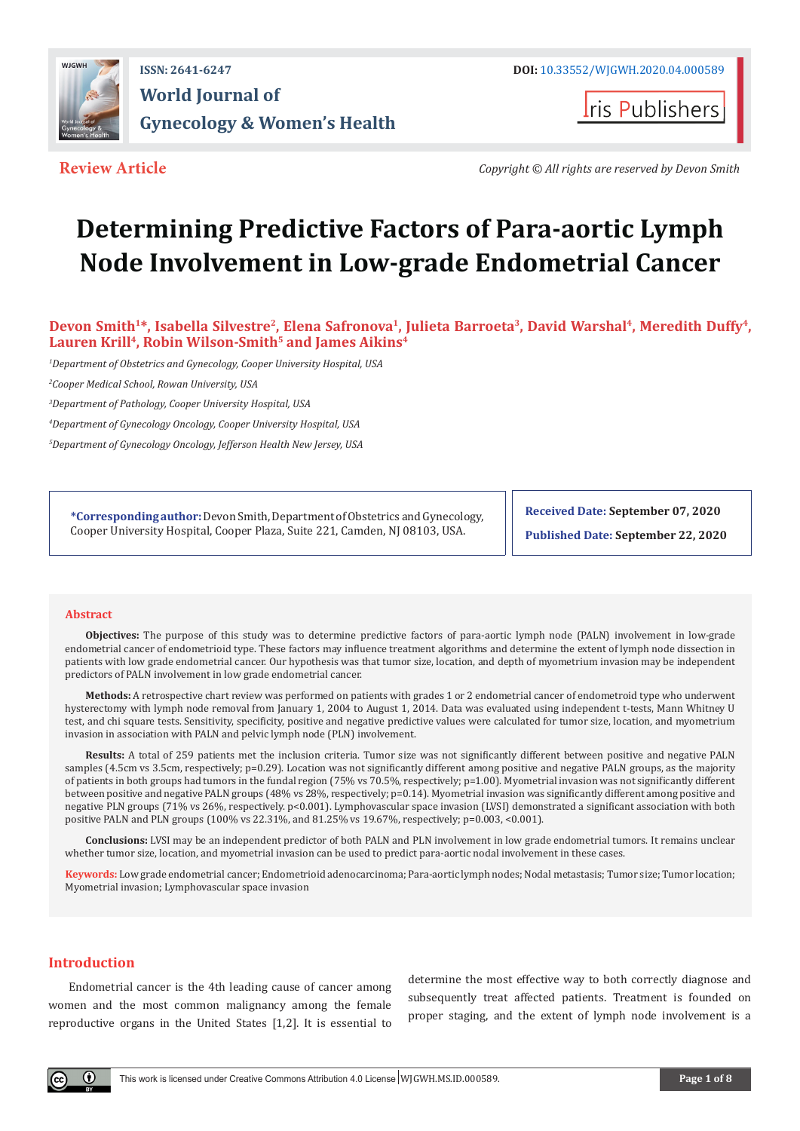

## **ISSN: 2641-6247 DOI:** [10.33552/WJGWH.2020.04.000589](http://dx.doi.org/10.33552/WJGWH.2020.04.000589) **World Journal of Gynecology & Women's Health**

**I**ris Publishers

**Review Article** *Copyright © All rights are reserved by Devon Smith* 

# **Determining Predictive Factors of Para-aortic Lymph Node Involvement in Low-grade Endometrial Cancer**

Devon Smith<sup>1\*</sup>, Isabella Silvestre<sup>2</sup>, Elena Safronova<sup>1</sup>, Julieta Barroeta<sup>3</sup>, David Warshal<sup>4</sup>, Meredith Duffy<sup>4</sup>, Lauren Krill<sup>4</sup>, Robin Wilson-Smith<sup>5</sup> and James Aikins<sup>4</sup>

*1 Department of Obstetrics and Gynecology, Cooper University Hospital, USA*

*2 Cooper Medical School, Rowan University, USA*

*3 Department of Pathology, Cooper University Hospital, USA*

*4 Department of Gynecology Oncology, Cooper University Hospital, USA*

*5 Department of Gynecology Oncology, Jefferson Health New Jersey, USA*

**\*Corresponding author:**Devon Smith, Department of Obstetrics and Gynecology, Cooper University Hospital, Cooper Plaza, Suite 221, Camden, NJ 08103, USA.

**Received Date: September 07, 2020**

**Published Date: September 22, 2020**

#### **Abstract**

**Objectives:** The purpose of this study was to determine predictive factors of para-aortic lymph node (PALN) involvement in low-grade endometrial cancer of endometrioid type. These factors may influence treatment algorithms and determine the extent of lymph node dissection in patients with low grade endometrial cancer. Our hypothesis was that tumor size, location, and depth of myometrium invasion may be independent predictors of PALN involvement in low grade endometrial cancer.

**Methods:** A retrospective chart review was performed on patients with grades 1 or 2 endometrial cancer of endometroid type who underwent hysterectomy with lymph node removal from January 1, 2004 to August 1, 2014. Data was evaluated using independent t-tests, Mann Whitney U test, and chi square tests. Sensitivity, specificity, positive and negative predictive values were calculated for tumor size, location, and myometrium invasion in association with PALN and pelvic lymph node (PLN) involvement.

**Results:** A total of 259 patients met the inclusion criteria. Tumor size was not significantly different between positive and negative PALN samples (4.5cm vs 3.5cm, respectively; p=0.29). Location was not significantly different among positive and negative PALN groups, as the majority of patients in both groups had tumors in the fundal region (75% vs 70.5%, respectively; p=1.00). Myometrial invasion was not significantly different between positive and negative PALN groups (48% vs 28%, respectively; p=0.14). Myometrial invasion was significantly different among positive and negative PLN groups (71% vs 26%, respectively. p<0.001). Lymphovascular space invasion (LVSI) demonstrated a significant association with both positive PALN and PLN groups (100% vs 22.31%, and 81.25% vs 19.67%, respectively; p=0.003, <0.001).

**Conclusions:** LVSI may be an independent predictor of both PALN and PLN involvement in low grade endometrial tumors. It remains unclear whether tumor size, location, and myometrial invasion can be used to predict para-aortic nodal involvement in these cases.

**Keywords:** Low grade endometrial cancer; Endometrioid adenocarcinoma; Para-aortic lymph nodes; Nodal metastasis; Tumor size; Tumor location; Myometrial invasion; Lymphovascular space invasion

### **Introduction**

Endometrial cancer is the 4th leading cause of cancer among women and the most common malignancy among the female reproductive organs in the United States [1,2]. It is essential to

determine the most effective way to both correctly diagnose and subsequently treat affected patients. Treatment is founded on proper staging, and the extent of lymph node involvement is a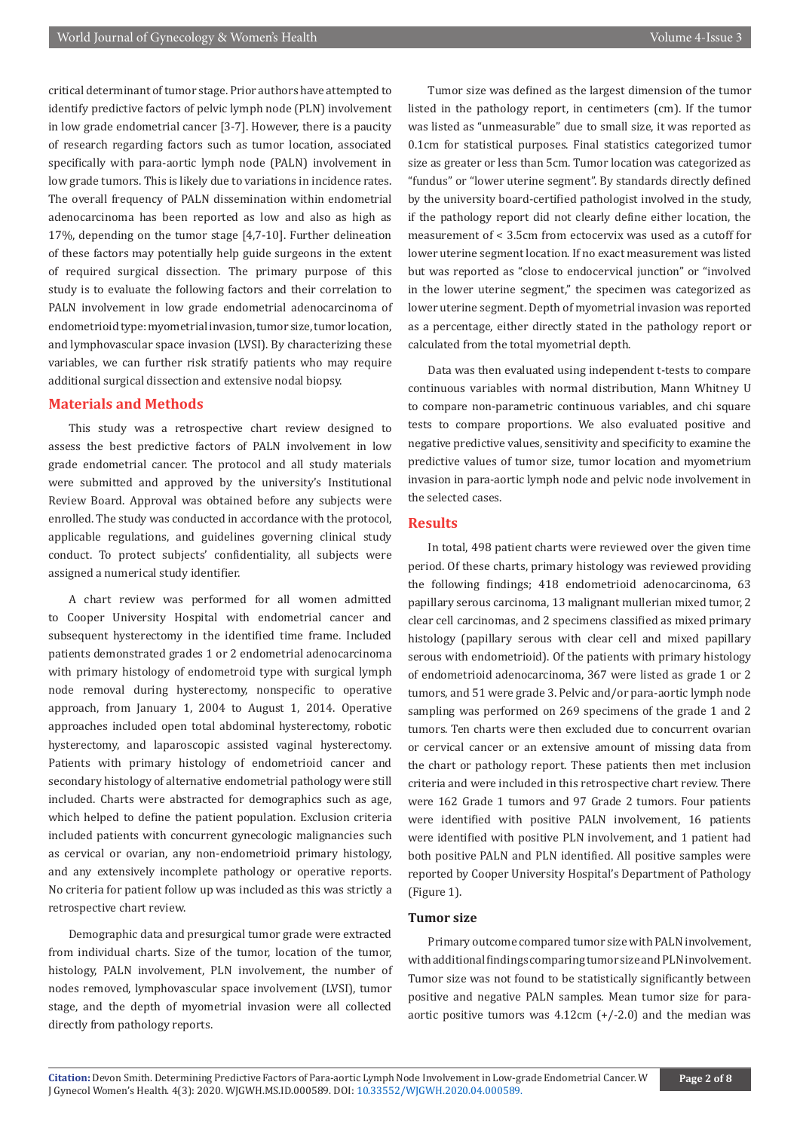critical determinant of tumor stage. Prior authors have attempted to identify predictive factors of pelvic lymph node (PLN) involvement in low grade endometrial cancer [3-7]. However, there is a paucity of research regarding factors such as tumor location, associated specifically with para-aortic lymph node (PALN) involvement in low grade tumors. This is likely due to variations in incidence rates. The overall frequency of PALN dissemination within endometrial adenocarcinoma has been reported as low and also as high as 17%, depending on the tumor stage [4,7-10]. Further delineation of these factors may potentially help guide surgeons in the extent of required surgical dissection. The primary purpose of this study is to evaluate the following factors and their correlation to PALN involvement in low grade endometrial adenocarcinoma of endometrioid type: myometrial invasion, tumor size, tumor location, and lymphovascular space invasion (LVSI). By characterizing these variables, we can further risk stratify patients who may require additional surgical dissection and extensive nodal biopsy.

#### **Materials and Methods**

This study was a retrospective chart review designed to assess the best predictive factors of PALN involvement in low grade endometrial cancer. The protocol and all study materials were submitted and approved by the university's Institutional Review Board. Approval was obtained before any subjects were enrolled. The study was conducted in accordance with the protocol, applicable regulations, and guidelines governing clinical study conduct. To protect subjects' confidentiality, all subjects were assigned a numerical study identifier.

A chart review was performed for all women admitted to Cooper University Hospital with endometrial cancer and subsequent hysterectomy in the identified time frame. Included patients demonstrated grades 1 or 2 endometrial adenocarcinoma with primary histology of endometroid type with surgical lymph node removal during hysterectomy, nonspecific to operative approach, from January 1, 2004 to August 1, 2014. Operative approaches included open total abdominal hysterectomy, robotic hysterectomy, and laparoscopic assisted vaginal hysterectomy. Patients with primary histology of endometrioid cancer and secondary histology of alternative endometrial pathology were still included. Charts were abstracted for demographics such as age, which helped to define the patient population. Exclusion criteria included patients with concurrent gynecologic malignancies such as cervical or ovarian, any non-endometrioid primary histology, and any extensively incomplete pathology or operative reports. No criteria for patient follow up was included as this was strictly a retrospective chart review.

Demographic data and presurgical tumor grade were extracted from individual charts. Size of the tumor, location of the tumor, histology, PALN involvement, PLN involvement, the number of nodes removed, lymphovascular space involvement (LVSI), tumor stage, and the depth of myometrial invasion were all collected directly from pathology reports.

Tumor size was defined as the largest dimension of the tumor listed in the pathology report, in centimeters (cm). If the tumor was listed as "unmeasurable" due to small size, it was reported as 0.1cm for statistical purposes. Final statistics categorized tumor size as greater or less than 5cm. Tumor location was categorized as "fundus" or "lower uterine segment". By standards directly defined by the university board-certified pathologist involved in the study, if the pathology report did not clearly define either location, the measurement of < 3.5cm from ectocervix was used as a cutoff for lower uterine segment location. If no exact measurement was listed but was reported as "close to endocervical junction" or "involved in the lower uterine segment," the specimen was categorized as lower uterine segment. Depth of myometrial invasion was reported as a percentage, either directly stated in the pathology report or calculated from the total myometrial depth.

Data was then evaluated using independent t-tests to compare continuous variables with normal distribution, Mann Whitney U to compare non-parametric continuous variables, and chi square tests to compare proportions. We also evaluated positive and negative predictive values, sensitivity and specificity to examine the predictive values of tumor size, tumor location and myometrium invasion in para-aortic lymph node and pelvic node involvement in the selected cases.

#### **Results**

In total, 498 patient charts were reviewed over the given time period. Of these charts, primary histology was reviewed providing the following findings; 418 endometrioid adenocarcinoma, 63 papillary serous carcinoma, 13 malignant mullerian mixed tumor, 2 clear cell carcinomas, and 2 specimens classified as mixed primary histology (papillary serous with clear cell and mixed papillary serous with endometrioid). Of the patients with primary histology of endometrioid adenocarcinoma, 367 were listed as grade 1 or 2 tumors, and 51 were grade 3. Pelvic and/or para-aortic lymph node sampling was performed on 269 specimens of the grade 1 and 2 tumors. Ten charts were then excluded due to concurrent ovarian or cervical cancer or an extensive amount of missing data from the chart or pathology report. These patients then met inclusion criteria and were included in this retrospective chart review. There were 162 Grade 1 tumors and 97 Grade 2 tumors. Four patients were identified with positive PALN involvement, 16 patients were identified with positive PLN involvement, and 1 patient had both positive PALN and PLN identified. All positive samples were reported by Cooper University Hospital's Department of Pathology (Figure 1).

#### **Tumor size**

Primary outcome compared tumor size with PALN involvement, with additional findings comparing tumor size and PLN involvement. Tumor size was not found to be statistically significantly between positive and negative PALN samples. Mean tumor size for paraaortic positive tumors was  $4.12$ cm  $(+/-2.0)$  and the median was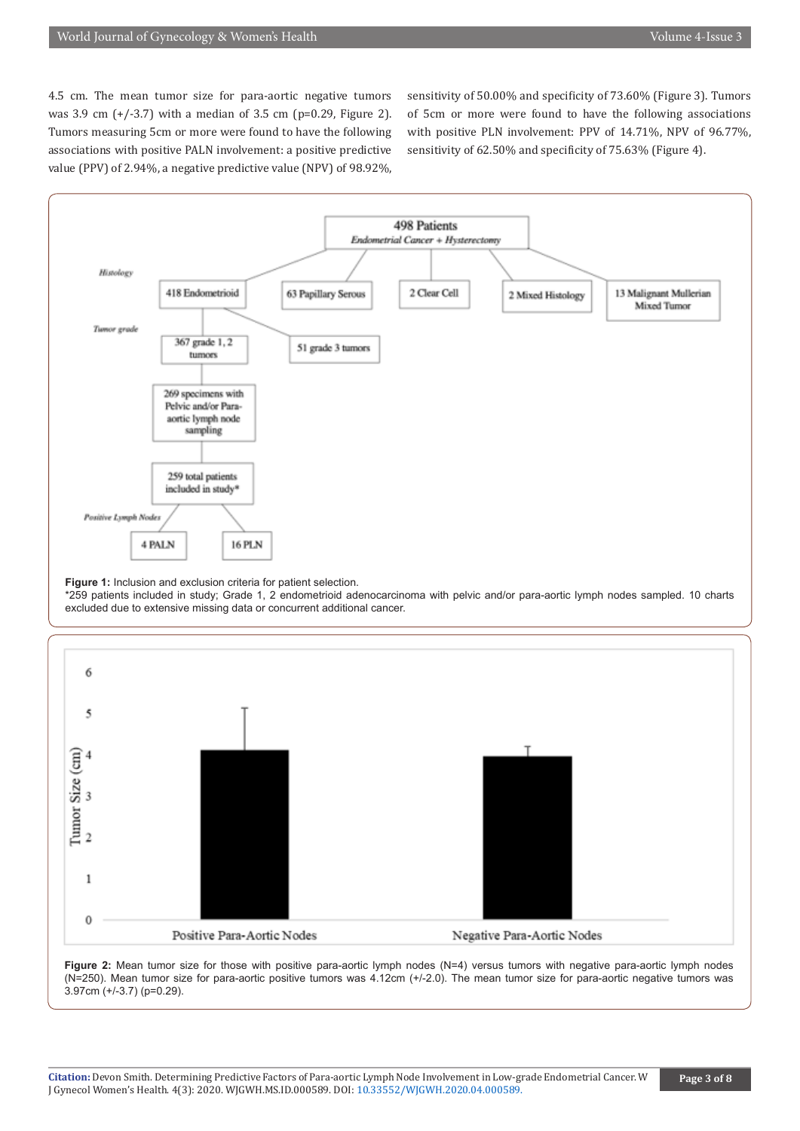4.5 cm. The mean tumor size for para-aortic negative tumors was 3.9 cm (+/-3.7) with a median of 3.5 cm (p=0.29, Figure 2). Tumors measuring 5cm or more were found to have the following associations with positive PALN involvement: a positive predictive value (PPV) of 2.94%, a negative predictive value (NPV) of 98.92%,

sensitivity of 50.00% and specificity of 73.60% (Figure 3). Tumors of 5cm or more were found to have the following associations with positive PLN involvement: PPV of 14.71%, NPV of 96.77%, sensitivity of 62.50% and specificity of 75.63% (Figure 4).



**Figure 1:** Inclusion and exclusion criteria for patient selection.

\*259 patients included in study; Grade 1, 2 endometrioid adenocarcinoma with pelvic and/or para-aortic lymph nodes sampled. 10 charts excluded due to extensive missing data or concurrent additional cancer.



**Figure 2:** Mean tumor size for those with positive para-aortic lymph nodes (N=4) versus tumors with negative para-aortic lymph nodes (N=250). Mean tumor size for para-aortic positive tumors was 4.12cm (+/-2.0). The mean tumor size for para-aortic negative tumors was 3.97cm (+/-3.7) (p=0.29).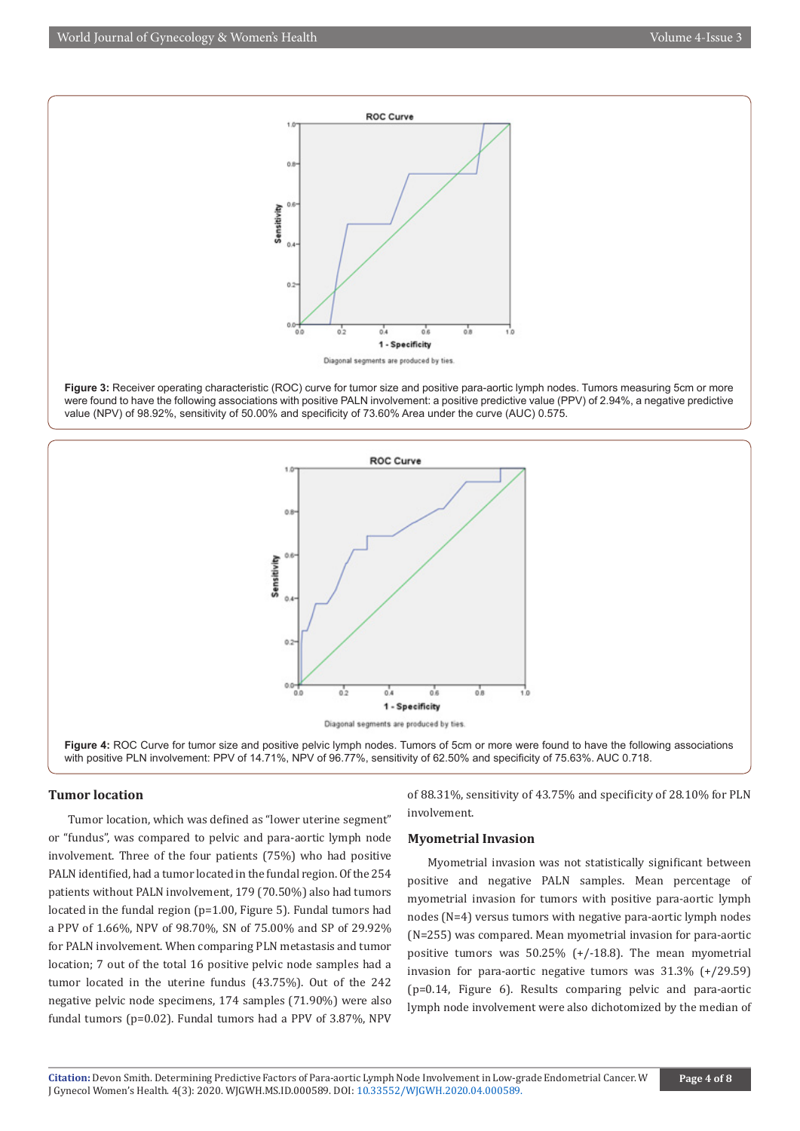

**Figure 3:** Receiver operating characteristic (ROC) curve for tumor size and positive para-aortic lymph nodes. Tumors measuring 5cm or more were found to have the following associations with positive PALN involvement: a positive predictive value (PPV) of 2.94%, a negative predictive value (NPV) of 98.92%, sensitivity of 50.00% and specificity of 73.60% Area under the curve (AUC) 0.575.



**Figure 4:** ROC Curve for tumor size and positive pelvic lymph nodes. Tumors of 5cm or more were found to have the following associations with positive PLN involvement: PPV of 14.71%, NPV of 96.77%, sensitivity of 62.50% and specificity of 75.63%. AUC 0.718.

#### **Tumor location**

Tumor location, which was defined as "lower uterine segment" or "fundus", was compared to pelvic and para-aortic lymph node involvement. Three of the four patients (75%) who had positive PALN identified, had a tumor located in the fundal region. Of the 254 patients without PALN involvement, 179 (70.50%) also had tumors located in the fundal region (p=1.00, Figure 5). Fundal tumors had a PPV of 1.66%, NPV of 98.70%, SN of 75.00% and SP of 29.92% for PALN involvement. When comparing PLN metastasis and tumor location; 7 out of the total 16 positive pelvic node samples had a tumor located in the uterine fundus (43.75%). Out of the 242 negative pelvic node specimens, 174 samples (71.90%) were also fundal tumors (p=0.02). Fundal tumors had a PPV of 3.87%, NPV

of 88.31%, sensitivity of 43.75% and specificity of 28.10% for PLN involvement.

#### **Myometrial Invasion**

Myometrial invasion was not statistically significant between positive and negative PALN samples. Mean percentage of myometrial invasion for tumors with positive para-aortic lymph nodes (N=4) versus tumors with negative para-aortic lymph nodes (N=255) was compared. Mean myometrial invasion for para-aortic positive tumors was 50.25% (+/-18.8). The mean myometrial invasion for para-aortic negative tumors was 31.3% (+/29.59) (p=0.14, Figure 6). Results comparing pelvic and para-aortic lymph node involvement were also dichotomized by the median of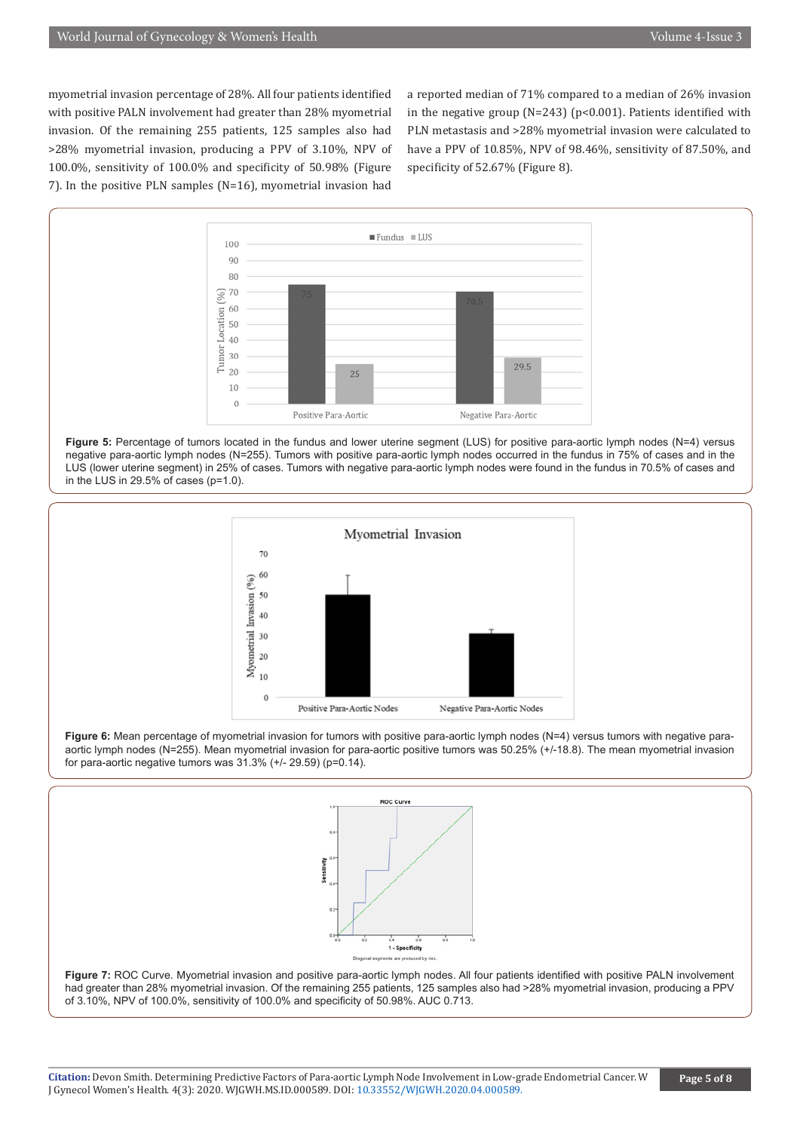myometrial invasion percentage of 28%. All four patients identified with positive PALN involvement had greater than 28% myometrial invasion. Of the remaining 255 patients, 125 samples also had >28% myometrial invasion, producing a PPV of 3.10%, NPV of 100.0%, sensitivity of 100.0% and specificity of 50.98% (Figure 7). In the positive PLN samples (N=16), myometrial invasion had

a reported median of 71% compared to a median of 26% invasion in the negative group ( $N=243$ ) ( $p<0.001$ ). Patients identified with PLN metastasis and >28% myometrial invasion were calculated to have a PPV of 10.85%, NPV of 98.46%, sensitivity of 87.50%, and specificity of 52.67% (Figure 8).







**Figure 6:** Mean percentage of myometrial invasion for tumors with positive para-aortic lymph nodes (N=4) versus tumors with negative paraaortic lymph nodes (N=255). Mean myometrial invasion for para-aortic positive tumors was 50.25% (+/-18.8). The mean myometrial invasion for para-aortic negative tumors was 31.3% (+/- 29.59) (p=0.14).



**Figure 7:** ROC Curve. Myometrial invasion and positive para-aortic lymph nodes. All four patients identified with positive PALN involvement had greater than 28% myometrial invasion. Of the remaining 255 patients, 125 samples also had >28% myometrial invasion, producing a PPV of 3.10%, NPV of 100.0%, sensitivity of 100.0% and specificity of 50.98%. AUC 0.713.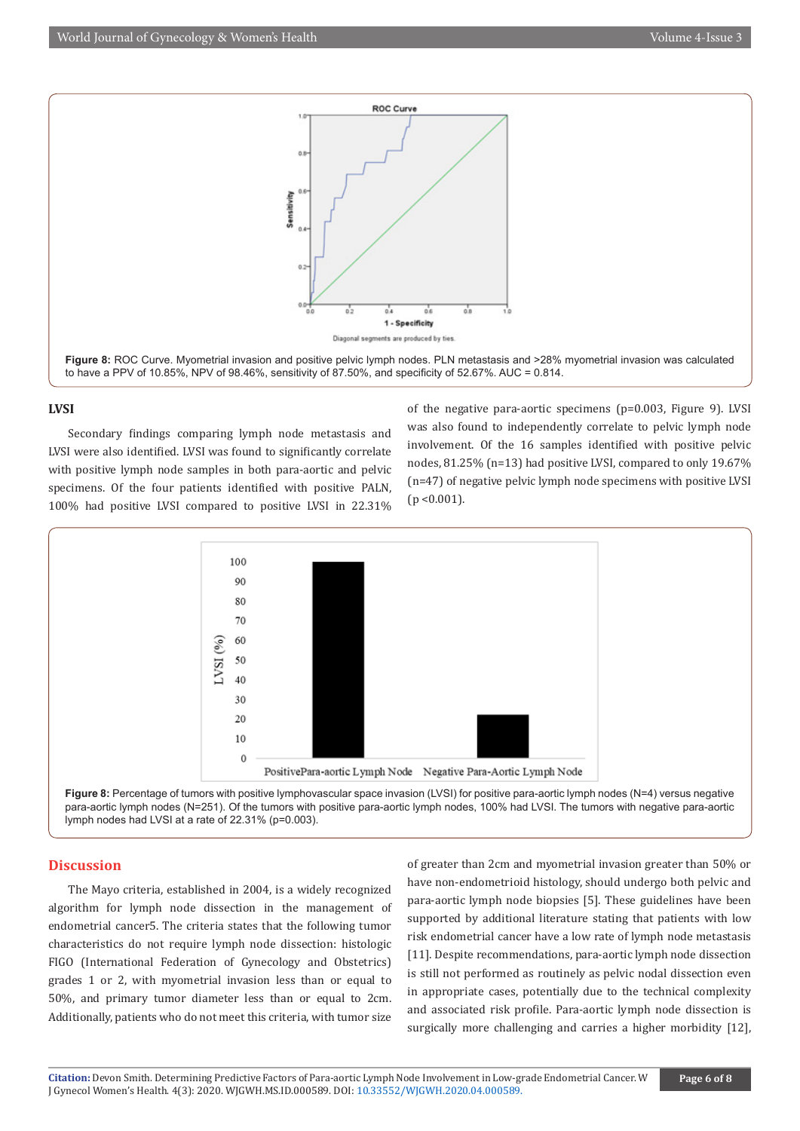

#### **LVSI**

Secondary findings comparing lymph node metastasis and LVSI were also identified. LVSI was found to significantly correlate with positive lymph node samples in both para-aortic and pelvic specimens. Of the four patients identified with positive PALN, 100% had positive LVSI compared to positive LVSI in 22.31% of the negative para-aortic specimens (p=0.003, Figure 9). LVSI was also found to independently correlate to pelvic lymph node involvement. Of the 16 samples identified with positive pelvic nodes, 81.25% (n=13) had positive LVSI, compared to only 19.67% (n=47) of negative pelvic lymph node specimens with positive LVSI  $(p < 0.001)$ .



Figure 8: Percentage of tumors with positive lymphovascular space invasion (LVSI) for positive para-aortic lymph nodes (N=4) versus negative para-aortic lymph nodes (N=251). Of the tumors with positive para-aortic lymph nodes, 100% had LVSI. The tumors with negative para-aortic lymph nodes had LVSI at a rate of 22.31% (p=0.003).

#### **Discussion**

The Mayo criteria, established in 2004, is a widely recognized algorithm for lymph node dissection in the management of endometrial cancer5. The criteria states that the following tumor characteristics do not require lymph node dissection: histologic FIGO (International Federation of Gynecology and Obstetrics) grades 1 or 2, with myometrial invasion less than or equal to 50%, and primary tumor diameter less than or equal to 2cm. Additionally, patients who do not meet this criteria, with tumor size

of greater than 2cm and myometrial invasion greater than 50% or have non-endometrioid histology, should undergo both pelvic and para-aortic lymph node biopsies [5]. These guidelines have been supported by additional literature stating that patients with low risk endometrial cancer have a low rate of lymph node metastasis [11]. Despite recommendations, para-aortic lymph node dissection is still not performed as routinely as pelvic nodal dissection even in appropriate cases, potentially due to the technical complexity and associated risk profile. Para-aortic lymph node dissection is surgically more challenging and carries a higher morbidity [12],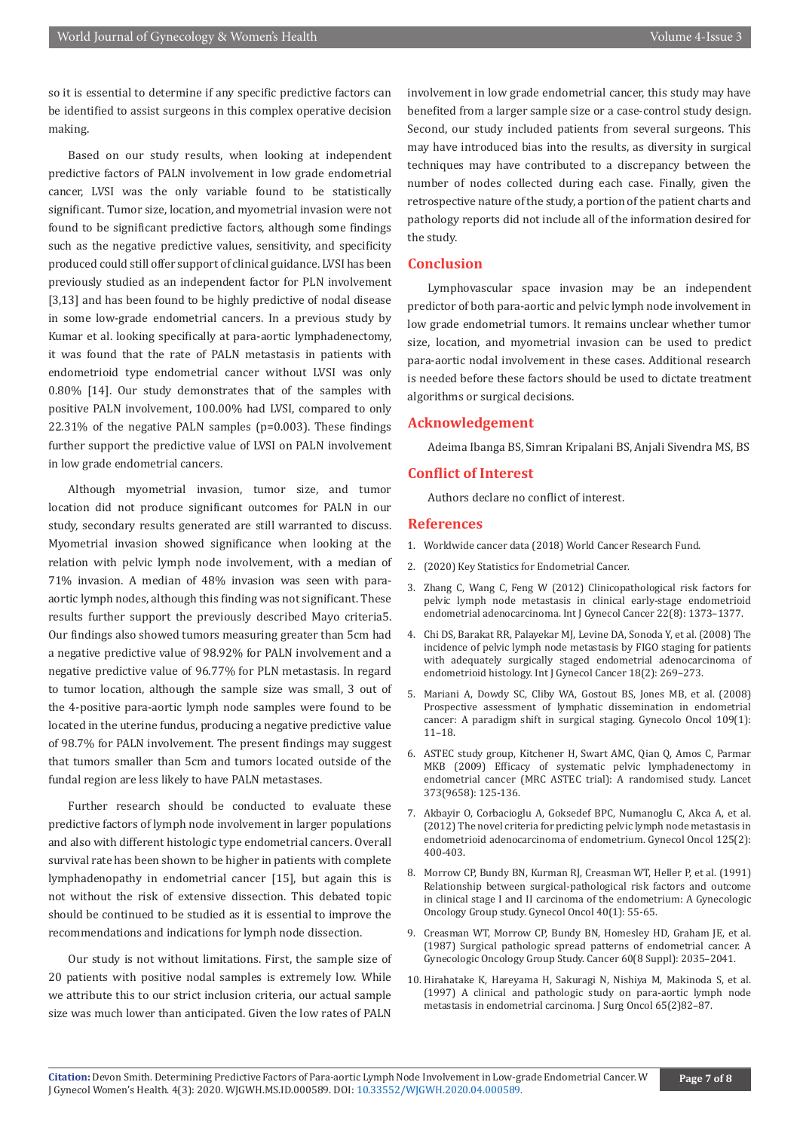so it is essential to determine if any specific predictive factors can be identified to assist surgeons in this complex operative decision making.

Based on our study results, when looking at independent predictive factors of PALN involvement in low grade endometrial cancer, LVSI was the only variable found to be statistically significant. Tumor size, location, and myometrial invasion were not found to be significant predictive factors, although some findings such as the negative predictive values, sensitivity, and specificity produced could still offer support of clinical guidance. LVSI has been previously studied as an independent factor for PLN involvement [3,13] and has been found to be highly predictive of nodal disease in some low-grade endometrial cancers. In a previous study by Kumar et al. looking specifically at para-aortic lymphadenectomy, it was found that the rate of PALN metastasis in patients with endometrioid type endometrial cancer without LVSI was only 0.80% [14]. Our study demonstrates that of the samples with positive PALN involvement, 100.00% had LVSI, compared to only 22.31% of the negative PALN samples (p=0.003). These findings further support the predictive value of LVSI on PALN involvement in low grade endometrial cancers.

Although myometrial invasion, tumor size, and tumor location did not produce significant outcomes for PALN in our study, secondary results generated are still warranted to discuss. Myometrial invasion showed significance when looking at the relation with pelvic lymph node involvement, with a median of 71% invasion. A median of 48% invasion was seen with paraaortic lymph nodes, although this finding was not significant. These results further support the previously described Mayo criteria5. Our findings also showed tumors measuring greater than 5cm had a negative predictive value of 98.92% for PALN involvement and a negative predictive value of 96.77% for PLN metastasis. In regard to tumor location, although the sample size was small, 3 out of the 4-positive para-aortic lymph node samples were found to be located in the uterine fundus, producing a negative predictive value of 98.7% for PALN involvement. The present findings may suggest that tumors smaller than 5cm and tumors located outside of the fundal region are less likely to have PALN metastases.

Further research should be conducted to evaluate these predictive factors of lymph node involvement in larger populations and also with different histologic type endometrial cancers. Overall survival rate has been shown to be higher in patients with complete lymphadenopathy in endometrial cancer [15], but again this is not without the risk of extensive dissection. This debated topic should be continued to be studied as it is essential to improve the recommendations and indications for lymph node dissection.

Our study is not without limitations. First, the sample size of 20 patients with positive nodal samples is extremely low. While we attribute this to our strict inclusion criteria, our actual sample size was much lower than anticipated. Given the low rates of PALN

involvement in low grade endometrial cancer, this study may have benefited from a larger sample size or a case-control study design. Second, our study included patients from several surgeons. This may have introduced bias into the results, as diversity in surgical techniques may have contributed to a discrepancy between the number of nodes collected during each case. Finally, given the retrospective nature of the study, a portion of the patient charts and pathology reports did not include all of the information desired for the study.

#### **Conclusion**

Lymphovascular space invasion may be an independent predictor of both para-aortic and pelvic lymph node involvement in low grade endometrial tumors. It remains unclear whether tumor size, location, and myometrial invasion can be used to predict para-aortic nodal involvement in these cases. Additional research is needed before these factors should be used to dictate treatment algorithms or surgical decisions.

#### **Acknowledgement**

Adeima Ibanga BS, Simran Kripalani BS, Anjali Sivendra MS, BS

#### **Conflict of Interest**

Authors declare no conflict of interest.

#### **References**

- 1. Worldwide cancer data (2018) World Cancer Research Fund.
- 2. (2020) Key Statistics for Endometrial Cancer.
- 3. [Zhang C, Wang C, Feng W \(2012\) Clinicopathological risk factors for](https://pubmed.ncbi.nlm.nih.gov/22932266/) [pelvic lymph node metastasis in clinical early-stage endometrioid](https://pubmed.ncbi.nlm.nih.gov/22932266/) [endometrial adenocarcinoma. Int J Gynecol Cancer 22\(8\): 1373–1377.](https://pubmed.ncbi.nlm.nih.gov/22932266/)
- 4. [Chi DS, Barakat RR, Palayekar MJ, Levine DA, Sonoda Y, et al. \(2008\) The](https://pubmed.ncbi.nlm.nih.gov/18334008/) [incidence of pelvic lymph node metastasis by FIGO staging for patients](https://pubmed.ncbi.nlm.nih.gov/18334008/) [with adequately surgically staged endometrial adenocarcinoma of](https://pubmed.ncbi.nlm.nih.gov/18334008/) [endometrioid histology. Int J Gynecol Cancer 18\(2\): 269–273.](https://pubmed.ncbi.nlm.nih.gov/18334008/)
- 5. [Mariani A, Dowdy SC, Cliby WA, Gostout BS, Jones MB, et al. \(2008\)](https://pubmed.ncbi.nlm.nih.gov/18304622/) [Prospective assessment of lymphatic dissemination in endometrial](https://pubmed.ncbi.nlm.nih.gov/18304622/) [cancer: A paradigm shift in surgical staging. Gynecolo Oncol 109\(1\):](https://pubmed.ncbi.nlm.nih.gov/18304622/) [11–18.](https://pubmed.ncbi.nlm.nih.gov/18304622/)
- 6. [ASTEC study group, Kitchener H, Swart AMC, Qian Q, Amos C, Parmar](https://pubmed.ncbi.nlm.nih.gov/19070889/) [MKB \(2009\) Efficacy of systematic pelvic lymphadenectomy in](https://pubmed.ncbi.nlm.nih.gov/19070889/) [endometrial cancer \(MRC ASTEC trial\): A randomised study. Lancet](https://pubmed.ncbi.nlm.nih.gov/19070889/) [373\(9658\): 125-136.](https://pubmed.ncbi.nlm.nih.gov/19070889/)
- 7. [Akbayir O, Corbacioglu A, Goksedef BPC, Numanoglu C, Akca A, et al.](https://pubmed.ncbi.nlm.nih.gov/22310644/) [\(2012\) The novel criteria for predicting pelvic lymph node metastasis in](https://pubmed.ncbi.nlm.nih.gov/22310644/) [endometrioid adenocarcinoma of endometrium. Gynecol Oncol 125\(2\):](https://pubmed.ncbi.nlm.nih.gov/22310644/) [400-403.](https://pubmed.ncbi.nlm.nih.gov/22310644/)
- 8. [Morrow CP, Bundy BN, Kurman RJ, Creasman WT, Heller P, et al. \(1991\)](https://pubmed.ncbi.nlm.nih.gov/1989916/) [Relationship between surgical-pathological risk factors and outcome](https://pubmed.ncbi.nlm.nih.gov/1989916/) [in clinical stage I and II carcinoma of the endometrium: A Gynecologic](https://pubmed.ncbi.nlm.nih.gov/1989916/) [Oncology Group study. Gynecol Oncol 40\(1\): 55-65.](https://pubmed.ncbi.nlm.nih.gov/1989916/)
- 9. [Creasman WT, Morrow CP, Bundy BN, Homesley HD, Graham JE, et al.](https://pubmed.ncbi.nlm.nih.gov/3652025/) [\(1987\) Surgical pathologic spread patterns of endometrial cancer. A](https://pubmed.ncbi.nlm.nih.gov/3652025/) [Gynecologic Oncology Group Study. Cancer 60\(8 Suppl\): 2035–2041.](https://pubmed.ncbi.nlm.nih.gov/3652025/)
- 10. [Hirahatake K, Hareyama H, Sakuragi N, Nishiya M, Makinoda S, et al.](https://pubmed.ncbi.nlm.nih.gov/9209518/) [\(1997\) A clinical and pathologic study on para-aortic lymph node](https://pubmed.ncbi.nlm.nih.gov/9209518/) [metastasis in endometrial carcinoma. J Surg Oncol 65\(2\)82–87.](https://pubmed.ncbi.nlm.nih.gov/9209518/)